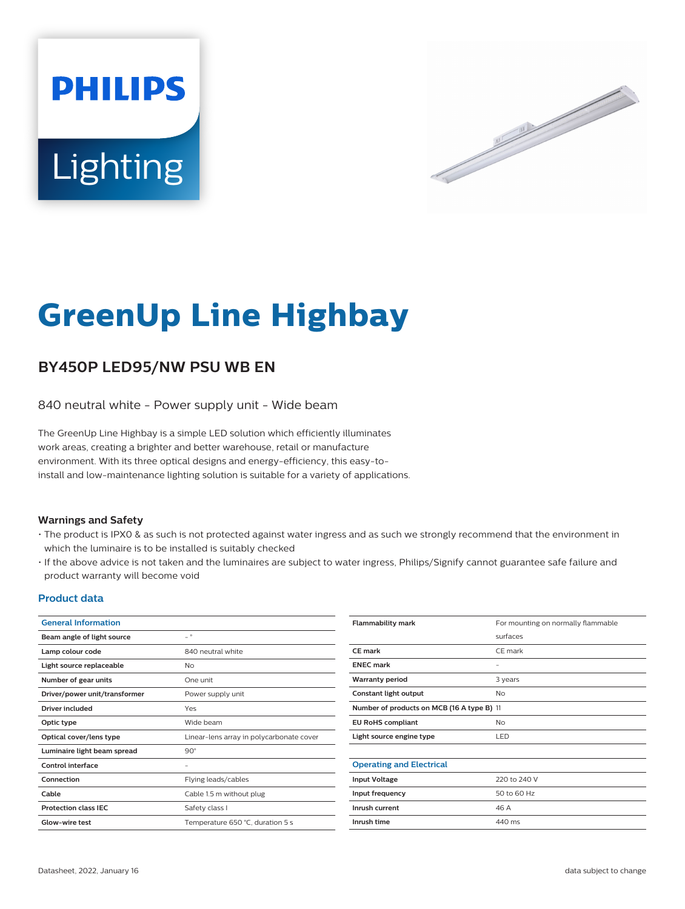



# **GreenUp Line Highbay**

## **BY450P LED95/NW PSU WB EN**

840 neutral white - Power supply unit - Wide beam

The GreenUp Line Highbay is a simple LED solution which efficiently illuminates work areas, creating a brighter and better warehouse, retail or manufacture environment. With its three optical designs and energy-efficiency, this easy-toinstall and low-maintenance lighting solution is suitable for a variety of applications.

#### **Warnings and Safety**

- The product is IPX0 & as such is not protected against water ingress and as such we strongly recommend that the environment in which the luminaire is to be installed is suitably checked
- If the above advice is not taken and the luminaires are subject to water ingress, Philips/Signify cannot guarantee safe failure and product warranty will become void

#### **Product data**

| <b>General Information</b>    |                                          | <b>Flammability mark</b>                   | For mounting on normally flammable |
|-------------------------------|------------------------------------------|--------------------------------------------|------------------------------------|
| Beam angle of light source    | $ ^{\circ}$                              |                                            | surfaces                           |
| Lamp colour code              | 840 neutral white                        | <b>CE mark</b>                             | CE mark                            |
| Light source replaceable      | <b>No</b>                                | <b>ENEC</b> mark                           | $\overline{\phantom{a}}$           |
| Number of gear units          | One unit                                 | <b>Warranty period</b>                     | 3 years                            |
| Driver/power unit/transformer | Power supply unit                        | Constant light output                      | <b>No</b>                          |
| <b>Driver included</b>        | Yes                                      | Number of products on MCB (16 A type B) 11 |                                    |
| Optic type                    | Wide beam                                | <b>EU RoHS compliant</b>                   | No                                 |
| Optical cover/lens type       | Linear-lens array in polycarbonate cover | Light source engine type                   | LED                                |
| Luminaire light beam spread   | $90^\circ$                               |                                            |                                    |
| <b>Control interface</b>      | $\overline{\phantom{m}}$                 | <b>Operating and Electrical</b>            |                                    |
| Connection                    | Flying leads/cables                      | <b>Input Voltage</b>                       | 220 to 240 V                       |
| Cable                         | Cable 1.5 m without plug                 | Input frequency                            | 50 to 60 Hz                        |
| <b>Protection class IEC</b>   | Safety class I                           | Inrush current                             | 46 A                               |
| Glow-wire test                | Temperature 650 °C, duration 5 s         | Inrush time                                | 440 ms                             |
|                               |                                          |                                            |                                    |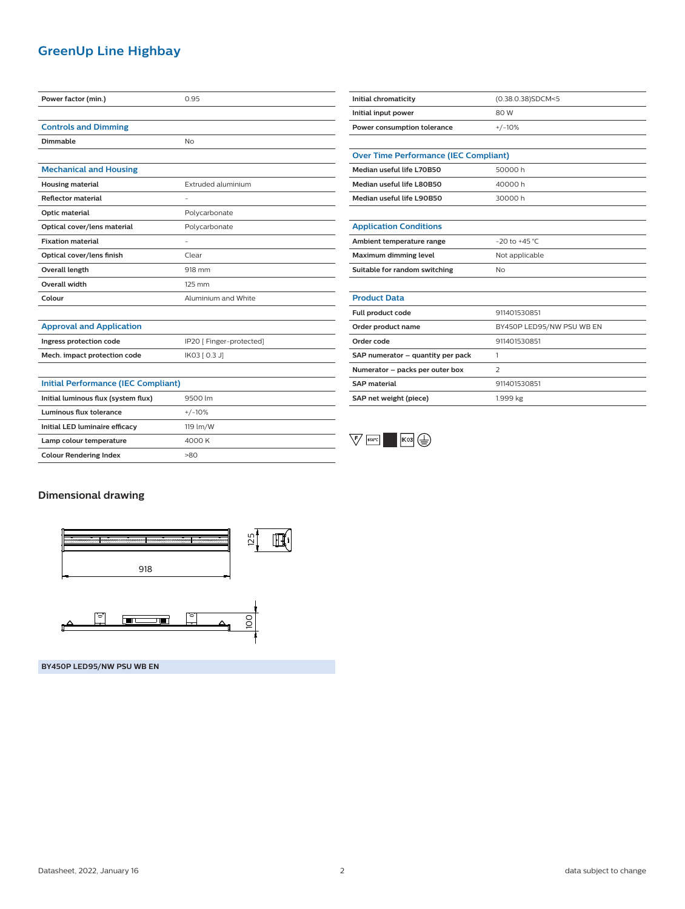### **GreenUp Line Highbay**

| Power factor (min.)                        | 0.95                     | Initial chromaticity                         | (0.38.0.38)SDCM<5         |
|--------------------------------------------|--------------------------|----------------------------------------------|---------------------------|
|                                            |                          | Initial input power                          | 80 W                      |
| <b>Controls and Dimming</b>                |                          | Power consumption tolerance                  | $+/-10%$                  |
| <b>Dimmable</b>                            | No                       |                                              |                           |
|                                            |                          | <b>Over Time Performance (IEC Compliant)</b> |                           |
| <b>Mechanical and Housing</b>              |                          | Median useful life L70B50                    | 50000h                    |
| <b>Housing material</b>                    | Extruded aluminium       | Median useful life L80B50                    | 40000h                    |
| <b>Reflector material</b>                  |                          | Median useful life L90B50                    | 30000h                    |
| Optic material                             | Polycarbonate            |                                              |                           |
| Optical cover/lens material                | Polycarbonate            | <b>Application Conditions</b>                |                           |
| <b>Fixation material</b>                   |                          | Ambient temperature range                    | $-20$ to $+45$ °C         |
| Optical cover/lens finish                  | Clear                    | Maximum dimming level                        | Not applicable            |
| Overall length                             | 918 mm                   | Suitable for random switching                | <b>No</b>                 |
| <b>Overall width</b>                       | 125 mm                   |                                              |                           |
| Colour                                     | Aluminium and White      | <b>Product Data</b>                          |                           |
|                                            |                          | Full product code                            | 911401530851              |
| <b>Approval and Application</b>            |                          | Order product name                           | BY450P LED95/NW PSU WB EN |
| Ingress protection code                    | IP20 [ Finger-protected] | Order code                                   | 911401530851              |
| Mech. impact protection code               | IK03 [ 0.3 J]            | SAP numerator - quantity per pack            | $\mathbf{1}$              |
|                                            |                          | Numerator - packs per outer box              | 2                         |
| <b>Initial Performance (IEC Compliant)</b> |                          | <b>SAP material</b>                          | 911401530851              |
| Initial luminous flux (system flux)        | 9500 lm                  | SAP net weight (piece)                       | 1.999 kg                  |
| <b>Luminous flux tolerance</b>             | $+/-10%$                 |                                              |                           |
| Initial LED luminaire efficacy             | 119 lm/W                 |                                              |                           |
| Lamp colour temperature                    | 4000 K                   | $\sqrt{5}$<br>650°C                          |                           |
| <b>Colour Rendering Index</b>              | >80                      |                                              |                           |

#### **Dimensional drawing**



**BY450P LED95/NW PSU WB EN**